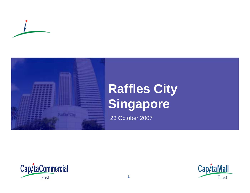



# **Raffles City Singapore**

23 October 2007



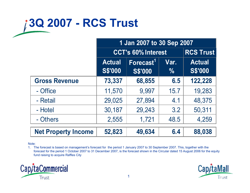## **3Q 2007 - RCS Trust**

|                            | 1 Jan 2007 to 30 Sep 2007       |                                         |                       |                                 |
|----------------------------|---------------------------------|-----------------------------------------|-----------------------|---------------------------------|
|                            | <b>CCT's 60% Interest</b>       | <b>RCS Trust</b>                        |                       |                                 |
|                            | <b>Actual</b><br><b>S\$'000</b> | Forecast <sup>1</sup><br><b>S\$'000</b> | Var.<br>$\frac{0}{0}$ | <b>Actual</b><br><b>S\$'000</b> |
| <b>Gross Revenue</b>       | 73,337                          | 68,855                                  | 6.5                   | 122,228                         |
| - Office                   | 11,570                          | 9,997                                   | 15.7                  | 19,283                          |
| - Retail                   | 29,025                          | 27,894                                  | 4.1                   | 48,375                          |
| - Hotel                    | 30,187                          | 29,243                                  | 3.2                   | 50,311                          |
| - Others                   | 2,555                           | 1,721                                   | 48.5                  | 4,259                           |
| <b>Net Property Income</b> | 52,823                          | 49,634                                  | 6.4                   | 88,038                          |

#### Note:

1. The forecast is based on management's forecast for the period 1 January 2007 to 30 September 2007. This, together with the forecast for the period 1 October 2007 to 31 December 2007, is the forecast shown in the Circular dated 15 August 2006 for the equity fund raising to acquire Raffles City



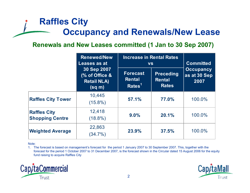### **Raffles City Occupancy and Renewals/New Lease**

#### **Renewals and New Leases committed (1 Jan to 30 Sep 2007)**

|                                               | <b>Renewed/New</b><br>Leases as at                                 | <b>Increase in Rental Rates</b><br><b>VS</b>           |                                                   | <b>Committed</b>                         |
|-----------------------------------------------|--------------------------------------------------------------------|--------------------------------------------------------|---------------------------------------------------|------------------------------------------|
|                                               | 30 Sep 2007<br>(% of Office &<br><b>Retail NLA)</b><br>$(sq \, m)$ | <b>Forecast</b><br><b>Rental</b><br>Rates <sup>1</sup> | <b>Preceding</b><br><b>Rental</b><br><b>Rates</b> | <b>Occupancy</b><br>as at 30 Sep<br>2007 |
| <b>Raffles City Tower</b>                     | 10,445<br>$(15.8\%)$                                               | 57.1%                                                  | 77.0%                                             | 100.0%                                   |
| <b>Raffles City</b><br><b>Shopping Centre</b> | 12,418<br>$(18.8\%)$                                               | 9.0%                                                   | 20.1%                                             | 100.0%                                   |
| <b>Weighted Average</b>                       | 22,863<br>$(34.7\%)$                                               | 23.9%                                                  | 37.5%                                             | 100.0%                                   |

#### Note:

1. The forecast is based on management's forecast for the period 1 January 2007 to 30 September 2007. This, together with the forecast for the period 1 October 2007 to 31 December 2007, is the forecast shown in the Circular dated 15 August 2006 for the equity fund raising to acquire Raffles City



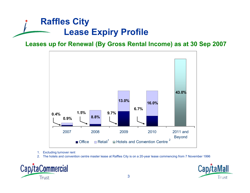## **Raffles City Lease Expiry Profile**

#### **Leases up for Renewal (By Gross Rental Income) as at 30 Sep 2007**



- 1. Excluding turnover rent
- 2. The hotels and convention centre master lease at Raffles City is on a 20-year lease commencing from 7 November 1996



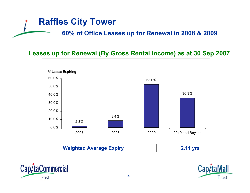#### **Raffles City Tower**

**60% of Office Leases up for Renewal in 2008 & 2009**

#### **Leases up for Renewal (By Gross Rental Income) as at 30 Sep 2007**





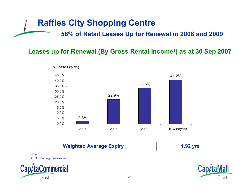#### **Raffles City Shopping Centre**

**56% of Retail Leases Up for Renewal in 2008 and 2009**

**Leases up for Renewal (By Gross Rental Income1) as at 30 Sep 2007**



Note:

1. Excluding turnover rent



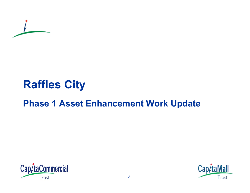

## **Raffles City**

## **Phase 1 Asset Enhancement Work Update**



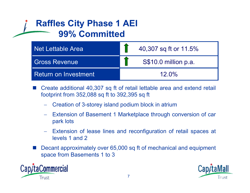### **Raffles City Phase 1 AEI 99% Committed**

| Net Lettable Area    | 40,307 sq ft or 11.5% |
|----------------------|-----------------------|
| <b>Gross Revenue</b> | S\$10.0 million p.a.  |
| Return on Investment | $12.0\%$              |

F Create additional 40,307 sq ft of retail lettable area and extend retail footprint from 352,088 sq ft to 392,395 sq ft

- Creation of 3-storey island podium block in atrium
- Extension of Basement 1 Marketplace through conversion of car park lots
- Extension of lease lines and reconfiguration of retail spaces at levels 1 and 2
- F Decant approximately over 65,000 sq ft of mechanical and equipment space from Basements 1 to 3



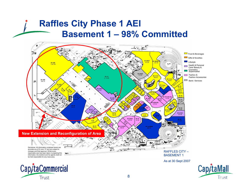#### **Raffles City Phase 1 AEI Basement 1 – 98% Committed**





Trust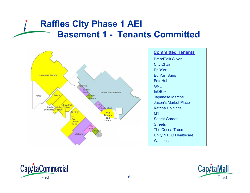### **Raffles City Phase 1 AEI Basement 1 - Tenants Committed**



#### **Committed Tenants**

**Watsons** Unity NTUC Healthcare The Cocoa Trees **Streets** Secret Garden M1 Katrina Holdings Jason's Market Place Japanese Marche InQBox GNC FotoHubEu Yan Sang Epi'd'or City Chain BreadTalk Silver



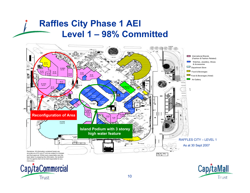#### **Raffles City Phase 1 AEI Level 1 – 98% Committed**



10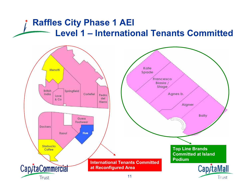### **Raffles City Phase 1 AEI Level 1 – International Tenants Committed**

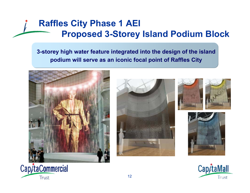### **Raffles City Phase 1 AEI Proposed 3-Storey Island Podium Block**

**3-storey high water feature integrated into the design of the island podium will serve as an iconic focal point of Raffles City**











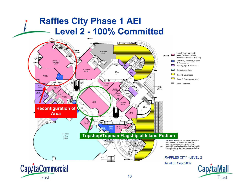#### **Raffles City Phase 1 AEI Level 2 - 100% Committed**



Trust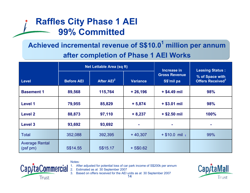### **Raffles City Phase 1 AEI 99% Committed**

#### **Achieved incremental revenue of S\$10.0<sup>1</sup> million per annum after completion of Phase 1 AEI Works**

|                                  | <b>Net Lettable Area (sq ft)</b> |                        | Increase in     | <b>Leasing Status:</b>             |                                                       |
|----------------------------------|----------------------------------|------------------------|-----------------|------------------------------------|-------------------------------------------------------|
| <b>Level</b>                     | <b>Before AEI</b>                | After AEI <sup>2</sup> | <b>Variance</b> | <b>Gross Revenue</b><br>S\$'mil pa | % of Space with<br><b>Offers Received<sup>3</sup></b> |
| <b>Basement 1</b>                | 89,568                           | 115,764                | $+26,196$       | $+$ \$4.49 mil                     | 98%                                                   |
| Level 1                          | 79,955                           | 85,829                 | $+ 5,874$       | $+$ \$3.01 mil                     | 98%                                                   |
| <b>Level 2</b>                   | 88,873                           | 97,110                 | $+8,237$        | $+$ \$2.50 mil                     | 100%                                                  |
| <b>Level 3</b>                   | 93,692                           | 93,692                 | ٠               |                                    |                                                       |
| <b>Total</b>                     | 352,088                          | 392,395                | $+40,307$       | $+$ \$10.0 mil $_1$                | 99%                                                   |
| <b>Average Rental</b><br>(psfpm) | S\$14.55                         | S\$15.17               | $+$ S\$0.62     |                                    |                                                       |



Notes:

After adjusted for potential loss of car park income of S\$200k per annum

2. Estimated as at 30 September 2007

143. Based on offers received for the AEI units as at 30 September 2007

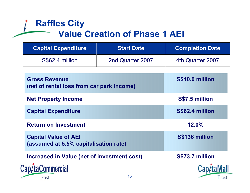### **Raffles City Value Creation of Phase 1 AEI**

| <b>Capital Expenditure</b> | <b>Start Date</b> | <b>Completion Date</b> |
|----------------------------|-------------------|------------------------|
| S\$62.4 million            | 2nd Quarter 2007  | 4th Quarter 2007       |

| <b>Gross Revenue</b><br>(net of rental loss from car park income)    |    | S\$10.0 million |
|----------------------------------------------------------------------|----|-----------------|
| <b>Net Property Income</b>                                           |    | S\$7.5 million  |
| <b>Capital Expenditure</b>                                           |    | S\$62.4 million |
| <b>Return on Investment</b>                                          |    | 12.0%           |
| <b>Capital Value of AEI</b><br>(assumed at 5.5% capitalisation rate) |    | S\$136 million  |
| Increased in Value (net of investment cost)                          |    | S\$73.7 million |
| ap/taCommercial                                                      |    |                 |
| Trust                                                                | 15 | Trust           |